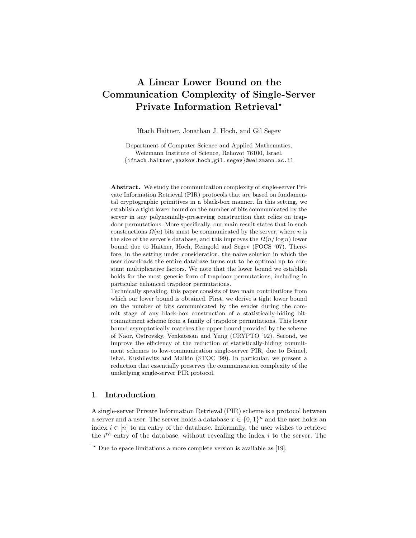# A Linear Lower Bound on the Communication Complexity of Single-Server Private Information Retrieval\*

Iftach Haitner, Jonathan J. Hoch, and Gil Segev

Department of Computer Science and Applied Mathematics, Weizmann Institute of Science, Rehovot 76100, Israel. {iftach.haitner,yaakov.hoch,gil.segev}@weizmann.ac.il

Abstract. We study the communication complexity of single-server Private Information Retrieval (PIR) protocols that are based on fundamental cryptographic primitives in a black-box manner. In this setting, we establish a tight lower bound on the number of bits communicated by the server in any polynomially-preserving construction that relies on trapdoor permutations. More specifically, our main result states that in such constructions  $\Omega(n)$  bits must be communicated by the server, where n is the size of the server's database, and this improves the  $\Omega(n/\log n)$  lower bound due to Haitner, Hoch, Reingold and Segev (FOCS '07). Therefore, in the setting under consideration, the naive solution in which the user downloads the entire database turns out to be optimal up to constant multiplicative factors. We note that the lower bound we establish holds for the most generic form of trapdoor permutations, including in particular enhanced trapdoor permutations.

Technically speaking, this paper consists of two main contributions from which our lower bound is obtained. First, we derive a tight lower bound on the number of bits communicated by the sender during the commit stage of any black-box construction of a statistically-hiding bitcommitment scheme from a family of trapdoor permutations. This lower bound asymptotically matches the upper bound provided by the scheme of Naor, Ostrovsky, Venkatesan and Yung (CRYPTO '92). Second, we improve the efficiency of the reduction of statistically-hiding commitment schemes to low-communication single-server PIR, due to Beimel, Ishai, Kushilevitz and Malkin (STOC '99). In particular, we present a reduction that essentially preserves the communication complexity of the underlying single-server PIR protocol.

## 1 Introduction

A single-server Private Information Retrieval (PIR) scheme is a protocol between a server and a user. The server holds a database  $x \in \{0,1\}^n$  and the user holds an index  $i \in [n]$  to an entry of the database. Informally, the user wishes to retrieve the  $i<sup>th</sup>$  entry of the database, without revealing the index i to the server. The

<sup>?</sup> Due to space limitations a more complete version is available as [19].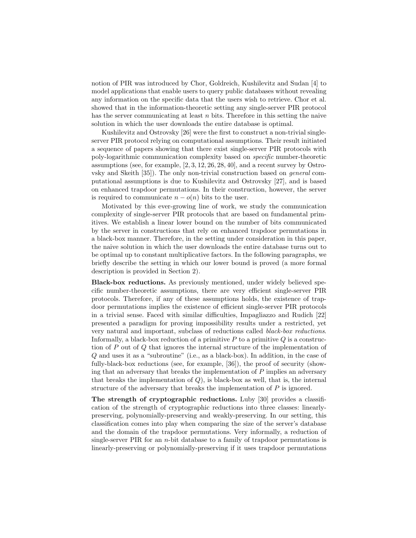notion of PIR was introduced by Chor, Goldreich, Kushilevitz and Sudan [4] to model applications that enable users to query public databases without revealing any information on the specific data that the users wish to retrieve. Chor et al. showed that in the information-theoretic setting any single-server PIR protocol has the server communicating at least  $n$  bits. Therefore in this setting the naive solution in which the user downloads the entire database is optimal.

Kushilevitz and Ostrovsky [26] were the first to construct a non-trivial singleserver PIR protocol relying on computational assumptions. Their result initiated a sequence of papers showing that there exist single-server PIR protocols with poly-logarithmic communication complexity based on specific number-theoretic assumptions (see, for example, [2, 3, 12, 26, 28, 40], and a recent survey by Ostrovsky and Skeith [35]). The only non-trivial construction based on general computational assumptions is due to Kushilevitz and Ostrovsky [27], and is based on enhanced trapdoor permutations. In their construction, however, the server is required to communicate  $n - o(n)$  bits to the user.

Motivated by this ever-growing line of work, we study the communication complexity of single-server PIR protocols that are based on fundamental primitives. We establish a linear lower bound on the number of bits communicated by the server in constructions that rely on enhanced trapdoor permutations in a black-box manner. Therefore, in the setting under consideration in this paper, the naive solution in which the user downloads the entire database turns out to be optimal up to constant multiplicative factors. In the following paragraphs, we briefly describe the setting in which our lower bound is proved (a more formal description is provided in Section 2).

Black-box reductions. As previously mentioned, under widely believed specific number-theoretic assumptions, there are very efficient single-server PIR protocols. Therefore, if any of these assumptions holds, the existence of trapdoor permutations implies the existence of efficient single-server PIR protocols in a trivial sense. Faced with similar difficulties, Impagliazzo and Rudich [22] presented a paradigm for proving impossibility results under a restricted, yet very natural and important, subclass of reductions called black-box reductions. Informally, a black-box reduction of a primitive  $P$  to a primitive  $Q$  is a construction of P out of Q that ignores the internal structure of the implementation of Q and uses it as a "subroutine" (i.e., as a black-box). In addition, in the case of fully-black-box reductions (see, for example, [36]), the proof of security (showing that an adversary that breaks the implementation of  $P$  implies an adversary that breaks the implementation of  $Q$ ), is black-box as well, that is, the internal structure of the adversary that breaks the implementation of  $P$  is ignored.

The strength of cryptographic reductions. Luby [30] provides a classification of the strength of cryptographic reductions into three classes: linearlypreserving, polynomially-preserving and weakly-preserving. In our setting, this classification comes into play when comparing the size of the server's database and the domain of the trapdoor permutations. Very informally, a reduction of single-server PIR for an  $n$ -bit database to a family of trapdoor permutations is linearly-preserving or polynomially-preserving if it uses trapdoor permutations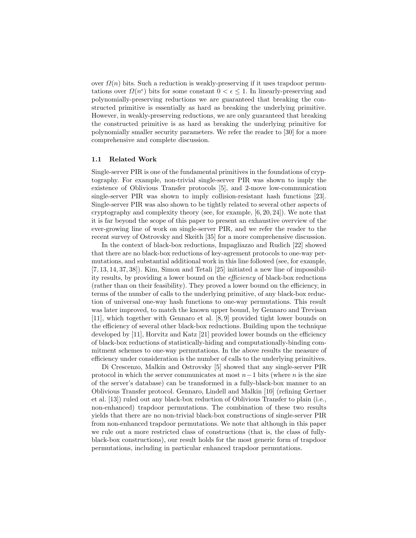over  $\Omega(n)$  bits. Such a reduction is weakly-preserving if it uses trapdoor permutations over  $\Omega(n^{\epsilon})$  bits for some constant  $0 < \epsilon \leq 1$ . In linearly-preserving and polynomially-preserving reductions we are guaranteed that breaking the constructed primitive is essentially as hard as breaking the underlying primitive. However, in weakly-preserving reductions, we are only guaranteed that breaking the constructed primitive is as hard as breaking the underlying primitive for polynomially smaller security parameters. We refer the reader to [30] for a more comprehensive and complete discussion.

#### 1.1 Related Work

Single-server PIR is one of the fundamental primitives in the foundations of cryptography. For example, non-trivial single-server PIR was shown to imply the existence of Oblivious Transfer protocols [5], and 2-move low-communication single-server PIR was shown to imply collision-resistant hash functions [23]. Single-server PIR was also shown to be tightly related to several other aspects of cryptography and complexity theory (see, for example, [6, 20, 24]). We note that it is far beyond the scope of this paper to present an exhaustive overview of the ever-growing line of work on single-server PIR, and we refer the reader to the recent survey of Ostrovsky and Skeith [35] for a more comprehensive discussion.

In the context of black-box reductions, Impagliazzo and Rudich [22] showed that there are no black-box reductions of key-agrement protocols to one-way permutations, and substantial additional work in this line followed (see, for example, [7, 13, 14, 37, 38]). Kim, Simon and Tetali [25] initiated a new line of impossibility results, by providing a lower bound on the efficiency of black-box reductions (rather than on their feasibility). They proved a lower bound on the efficiency, in terms of the number of calls to the underlying primitive, of any black-box reduction of universal one-way hash functions to one-way permutations. This result was later improved, to match the known upper bound, by Gennaro and Trevisan [11], which together with Gennaro et al. [8, 9] provided tight lower bounds on the efficiency of several other black-box reductions. Building upon the technique developed by [11], Horvitz and Katz [21] provided lower bounds on the efficiency of black-box reductions of statistically-hiding and computationally-binding commitment schemes to one-way permutations. In the above results the measure of efficiency under consideration is the number of calls to the underlying primitives.

Di Crescenzo, Malkin and Ostrovsky [5] showed that any single-server PIR protocol in which the server communicates at most  $n-1$  bits (where n is the size of the server's database) can be transformed in a fully-black-box manner to an Oblivious Transfer protocol. Gennaro, Lindell and Malkin [10] (refining Gertner et al. [13]) ruled out any black-box reduction of Oblivious Transfer to plain (i.e., non-enhanced) trapdoor permutations. The combination of these two results yields that there are no non-trivial black-box constructions of single-server PIR from non-enhanced trapdoor permutations. We note that although in this paper we rule out a more restricted class of constructions (that is, the class of fullyblack-box constructions), our result holds for the most generic form of trapdoor permutations, including in particular enhanced trapdoor permutations.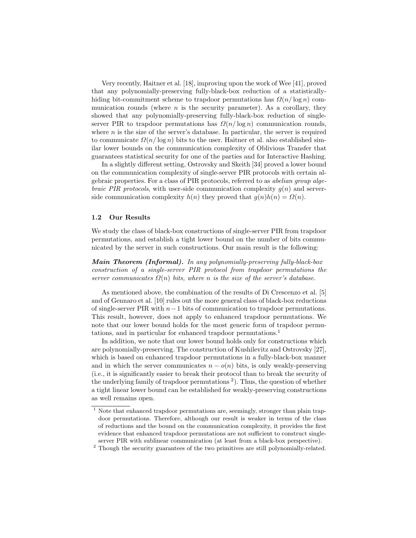Very recently, Haitner et al. [18], improving upon the work of Wee [41], proved that any polynomially-preserving fully-black-box reduction of a statisticallyhiding bit-commitment scheme to trapdoor permutations has  $\Omega(n/\log n)$  communication rounds (where  $n$  is the security parameter). As a corollary, they showed that any polynomially-preserving fully-black-box reduction of singleserver PIR to trapdoor permutations has  $\Omega(n/\log n)$  communication rounds. where  $n$  is the size of the server's database. In particular, the server is required to communicate  $\Omega(n/\log n)$  bits to the user. Haitner et al. also established similar lower bounds on the communication complexity of Oblivious Transfer that guarantees statistical security for one of the parties and for Interactive Hashing.

In a slightly different setting, Ostrovsky and Skeith [34] proved a lower bound on the communication complexity of single-server PIR protocols with certain algebraic properties. For a class of PIR protocols, referred to as abelian group algebraic PIR protocols, with user-side communication complexity  $q(n)$  and serverside communication complexity  $h(n)$  they proved that  $q(n)h(n) = \Omega(n)$ .

#### 1.2 Our Results

We study the class of black-box constructions of single-server PIR from trapdoor permutations, and establish a tight lower bound on the number of bits communicated by the server in such constructions. Our main result is the following:

Main Theorem (Informal). In any polynomially-preserving fully-black-box construction of a single-server PIR protocol from trapdoor permutations the server communicates  $\Omega(n)$  bits, where n is the size of the server's database.

As mentioned above, the combination of the results of Di Crescenzo et al. [5] and of Gennaro et al. [10] rules out the more general class of black-box reductions of single-server PIR with  $n-1$  bits of communication to trapdoor permutations. This result, however, does not apply to enhanced trapdoor permutations. We note that our lower bound holds for the most generic form of trapdoor permutations, and in particular for enhanced trapdoor permutations.<sup>1</sup>

In addition, we note that our lower bound holds only for constructions which are polynomially-preserving. The construction of Kushilevitz and Ostrovsky [27], which is based on enhanced trapdoor permutations in a fully-black-box manner and in which the server communicates  $n - o(n)$  bits, is only weakly-preserving (i.e., it is significantly easier to break their protocol than to break the security of the underlying family of trapdoor permutations<sup>2</sup>). Thus, the question of whether a tight linear lower bound can be established for weakly-preserving constructions as well remains open.

<sup>&</sup>lt;sup>1</sup> Note that enhanced trapdoor permutations are, seemingly, stronger than plain trapdoor permutations. Therefore, although our result is weaker in terms of the class of reductions and the bound on the communication complexity, it provides the first evidence that enhanced trapdoor permutations are not sufficient to construct singleserver PIR with sublinear communication (at least from a black-box perspective).

 $^2$  Though the security guarantees of the two primitives are still polynomially-related.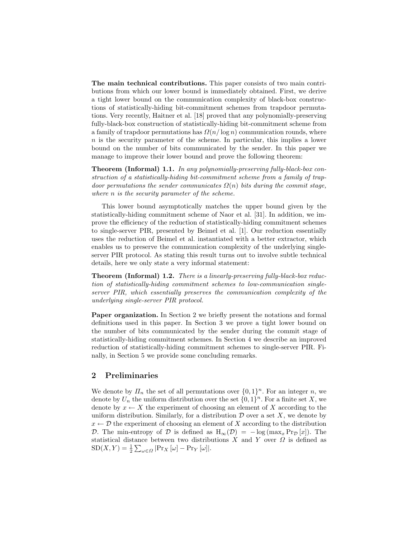The main technical contributions. This paper consists of two main contributions from which our lower bound is immediately obtained. First, we derive a tight lower bound on the communication complexity of black-box constructions of statistically-hiding bit-commitment schemes from trapdoor permutations. Very recently, Haitner et al. [18] proved that any polynomially-preserving fully-black-box construction of statistically-hiding bit-commitment scheme from a family of trapdoor permutations has  $\Omega(n/\log n)$  communication rounds, where  $n$  is the security parameter of the scheme. In particular, this implies a lower bound on the number of bits communicated by the sender. In this paper we manage to improve their lower bound and prove the following theorem:

Theorem (Informal) 1.1. In any polynomially-preserving fully-black-box construction of a statistically-hiding bit-commitment scheme from a family of trapdoor permutations the sender communicates  $\Omega(n)$  bits during the commit stage, where n is the security parameter of the scheme.

This lower bound asymptotically matches the upper bound given by the statistically-hiding commitment scheme of Naor et al. [31]. In addition, we improve the efficiency of the reduction of statistically-hiding commitment schemes to single-server PIR, presented by Beimel et al. [1]. Our reduction essentially uses the reduction of Beimel et al. instantiated with a better extractor, which enables us to preserve the communication complexity of the underlying singleserver PIR protocol. As stating this result turns out to involve subtle technical details, here we only state a very informal statement:

Theorem (Informal) 1.2. There is a linearly-preserving fully-black-box reduction of statistically-hiding commitment schemes to low-communication singleserver PIR, which essentially preserves the communication complexity of the underlying single-server PIR protocol.

Paper organization. In Section 2 we briefly present the notations and formal definitions used in this paper. In Section 3 we prove a tight lower bound on the number of bits communicated by the sender during the commit stage of statistically-hiding commitment schemes. In Section 4 we describe an improved reduction of statistically-hiding commitment schemes to single-server PIR. Finally, in Section 5 we provide some concluding remarks.

# 2 Preliminaries

We denote by  $\Pi_n$  the set of all permutations over  $\{0,1\}^n$ . For an integer n, we denote by  $U_n$  the uniform distribution over the set  $\{0,1\}^n$ . For a finite set X, we denote by  $x \leftarrow X$  the experiment of choosing an element of X according to the uniform distribution. Similarly, for a distribution  $\mathcal D$  over a set X, we denote by  $x \leftarrow \mathcal{D}$  the experiment of choosing an element of X according to the distribution D. The min-entropy of D is defined as  $H_{\infty}(\mathcal{D}) = -\log(\max_{x} Pr_{\mathcal{D}}[x])$ . The statistical distance between two distributions X and Y over  $\Omega$  is defined as  $SD(X, Y) = \frac{1}{2} \sum_{\omega \in \Omega} |Pr_X[\omega] - Pr_Y[\omega]|.$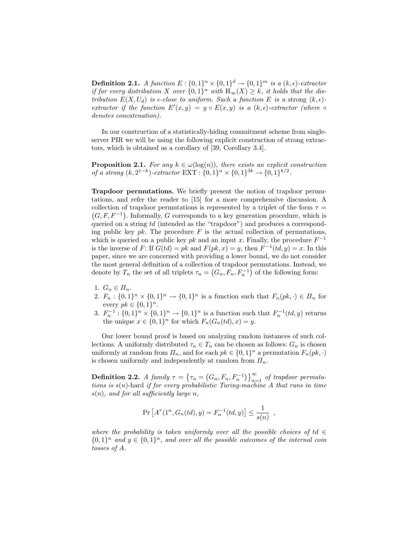**Definition 2.1.** A function  $E: \{0,1\}^n \times \{0,1\}^d \rightarrow \{0,1\}^m$  is a  $(k, \epsilon)$ -extractor if for every distribution X over  ${0,1}^n$  with  $H_\infty(X) \geq k$ , it holds that the distribution  $E(X, U_d)$  is  $\epsilon$ -close to uniform. Such a function E is a strong  $(k, \epsilon)$ extractor if the function  $E'(x,y) = y \circ E(x,y)$  is a  $(k, \epsilon)$ -extractor (where  $\circ$ denotes concatenation).

In our construction of a statistically-hiding commitment scheme from singleserver PIR we will be using the following explicit construction of strong extractors, which is obtained as a corollary of [39, Corollary 3.4].

**Proposition 2.1.** For any  $k \in \omega(\log(n))$ , there exists an explicit construction of a strong  $(k, 2^{1-k})$ -extractor  $EXT: \{0,1\}^n \times \{0,1\}^{3k} \to \{0,1\}^{k/2}$ .

Trapdoor permutations. We briefly present the notion of trapdoor permutations, and refer the reader to [15] for a more comprehensive discussion. A collection of trapdoor permutations is represented by a triplet of the form  $\tau =$  $G, F, F^{-1}$ ). Informally, G corresponds to a key generation procedure, which is queried on a string td (intended as the "trapdoor") and produces a corresponding public key  $pk$ . The procedure  $F$  is the actual collection of permutations, which is queried on a public key  $pk$  and an input x. Finally, the procedure  $F^{-1}$ is the inverse of F: If  $G(td) = pk$  and  $F(pk, x) = y$ , then  $F^{-1}(td, y) = x$ . In this paper, since we are concerned with providing a lower bound, we do not consider the most general definition of a collection of trapdoor permutations. Instead, we denote by  $T_n$  the set of all triplets  $\tau_n = (G_n, F_n, F_n^{-1})$  of the following form:

- 1.  $G_n \in \Pi_n$ .
- 2.  $F_n: \{0,1\}^n \times \{0,1\}^n \to \{0,1\}^n$  is a function such that  $F_n(pk, \cdot) \in \Pi_n$  for every  $pk \in \{0,1\}^n$ .
- 3.  $F_n^{-1}: \{0,1\}^n \times \{0,1\}^n \to \{0,1\}^n$  is a function such that  $F_n^{-1}(td, y)$  returns the unique  $x \in \{0,1\}^n$  for which  $F_n(G_n(td), x) = y$ .

Our lower bound proof is based on analyzing random instances of such collections. A uniformly distributed  $\tau_n \in T_n$  can be chosen as follows:  $G_n$  is chosen uniformly at random from  $\Pi_n$ , and for each  $pk \in \{0,1\}^n$  a permutation  $F_n(pk, \cdot)$ is chosen uniformly and independently at random from  $\Pi_n$ .

Definition 2.2. A family  $\tau =$ ©  $\tau_n =$  $(G_n, F_n, F_n^{-1})$  $\frac{1}{2}$  $\sum_{n=1}^{\infty}$  of trapdoor permutations is  $s(n)$ -hard if for every probabilistic Turing-machine A that runs in time  $s(n)$ , and for all sufficiently large n,

$$
\Pr\left[A^{\tau}(1^n, G_n(td), y) = F_n^{-1}(td, y)\right] \le \frac{1}{s(n)} ,
$$

where the probability is taken uniformly over all the possible choices of  $td \in$  ${0,1}<sup>n</sup>$  and  $y \in {0,1}<sup>n</sup>$ , and over all the possible outcomes of the internal coin tosses of A.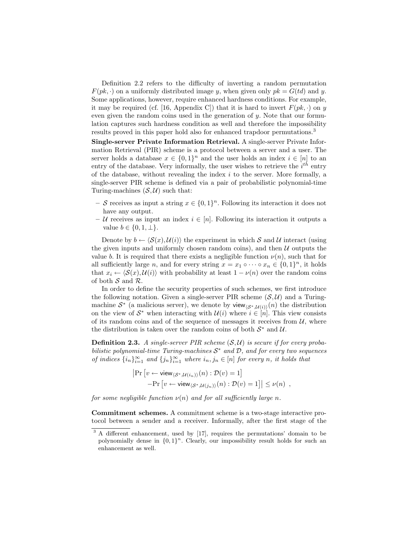Definition 2.2 refers to the difficulty of inverting a random permutation  $F(pk, \cdot)$  on a uniformly distributed image y, when given only  $pk = G(td)$  and y. Some applications, however, require enhanced hardness conditions. For example, it may be required (cf. [16, Appendix C]) that it is hard to invert  $F(pk, \cdot)$  on y even given the random coins used in the generation of  $y$ . Note that our formulation captures such hardness condition as well and therefore the impossibility results proved in this paper hold also for enhanced trapdoor permutations.<sup>3</sup>

Single-server Private Information Retrieval. A single-server Private Information Retrieval (PIR) scheme is a protocol between a server and a user. The server holds a database  $x \in \{0,1\}^n$  and the user holds an index  $i \in [n]$  to an entry of the database. Very informally, the user wishes to retrieve the  $i^{th}$  entry of the database, without revealing the index  $i$  to the server. More formally, a single-server PIR scheme is defined via a pair of probabilistic polynomial-time Turing-machines  $(S, U)$  such that:

- $\mathcal{S}$  receives as input a string  $x \in \{0,1\}^n$ . Following its interaction it does not have any output.
- U receives as input an index  $i \in [n]$ . Following its interaction it outputs a value  $b \in \{0, 1, \perp\}.$

Denote by  $b \leftarrow \langle \mathcal{S}(x), \mathcal{U}(i) \rangle$  the experiment in which S and U interact (using the given inputs and uniformly chosen random coins), and then  $\mathcal U$  outputs the value b. It is required that there exists a negligible function  $\nu(n)$ , such that for all sufficiently large *n*, and for every string  $x = x_1 \circ \cdots \circ x_n \in \{0,1\}^n$ , it holds that  $x_i \leftarrow \langle \mathcal{S}(x), \mathcal{U}(i) \rangle$  with probability at least  $1 - \nu(n)$  over the random coins of both  $S$  and  $R$ .

In order to define the security properties of such schemes, we first introduce the following notation. Given a single-server PIR scheme  $(S, U)$  and a Turingmachine  $\mathcal{S}^*$  (a malicious server), we denote by view $\langle \mathcal{S}^*,\mathcal{U}(i)\rangle(n)$  the distribution on the view of  $\mathcal{S}^*$  when interacting with  $\mathcal{U}(i)$  where  $i \in [n]$ . This view consists of its random coins and of the sequence of messages it receives from  $U$ , where the distribution is taken over the random coins of both  $S^*$  and  $\mathcal{U}$ .

**Definition 2.3.** A single-server PIR scheme  $(S, U)$  is secure if for every probabilistic polynomial-time Turing-machines  $S^*$  and  $D$ , and for every two sequences of indices  $\{i_n\}_{i=1}^{\infty}$  and  $\{j_n\}_{i=1}^{\infty}$  where  $i_n, j_n \in [n]$  for every n, it holds that

$$
|\Pr[v \leftarrow view_{\langle S^*, \mathcal{U}(i_n) \rangle}(n) : \mathcal{D}(v) = 1] - \Pr[v \leftarrow view_{\langle S^*, \mathcal{U}(j_n) \rangle}(n) : \mathcal{D}(v) = 1]| \leq \nu(n) ,
$$

for some negligible function  $\nu(n)$  and for all sufficiently large n.

Commitment schemes. A commitment scheme is a two-stage interactive protocol between a sender and a receiver. Informally, after the first stage of the

<sup>&</sup>lt;sup>3</sup> A different enhancement, used by [17], requires the permutations' domain to be polynomially dense in  ${0,1}^n$ . Clearly, our impossibility result holds for such an enhancement as well.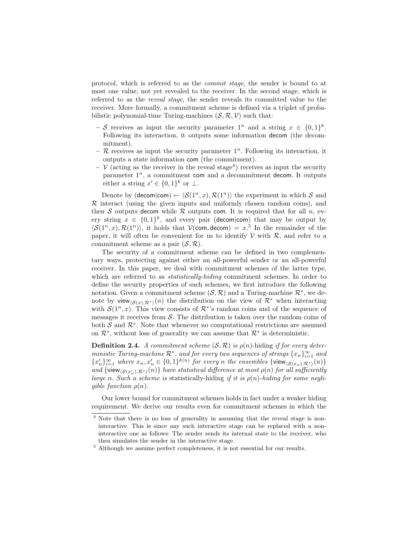protocol, which is referred to as the commit stage, the sender is bound to at most one value, not yet revealed to the receiver. In the second stage, which is referred to as the reveal stage, the sender reveals its committed value to the receiver. More formally, a commitment scheme is defined via a triplet of probabilistic polynomial-time Turing-machines  $(S, \mathcal{R}, \mathcal{V})$  such that:

- $\mathcal{S}$  receives as input the security parameter  $1^n$  and a string  $x \in \{0,1\}^k$ . Following its interaction, it outputs some information decom (the decommitment).
- R receives as input the security parameter  $1^n$ . Following its interaction, it outputs a state information com (the commitment).
- $-$  V (acting as the receiver in the reveal stage<sup>4</sup>) receives as input the security parameter  $1^n$ , a commitment com and a decommitment decom. It outputs either a string  $x' \in \{0,1\}^k$  or  $\perp$ .

Denote by  $(\text{decom}| \text{com}) \leftarrow \langle \mathcal{S}(1^n, x), \mathcal{R}(1^n) \rangle$  the experiment in which S and  $\mathcal R$  interact (using the given inputs and uniformly chosen random coins), and then S outputs decom while R outputs com. It is required that for all  $n$ , every string  $x \in \{0,1\}^k$ , and every pair (decom|com) that may be output by  $\langle \mathcal{S}(1^n, x), \mathcal{R}(1^n) \rangle$ , it holds that  $\mathcal{V}(\text{com}, \text{decom}) = x^{5}$ . In the remainder of the paper, it will often be convenient for us to identify  $V$  with  $R$ , and refer to a commitment scheme as a pair  $(S, \mathcal{R})$ .

The security of a commitment scheme can be defined in two complementary ways, protecting against either an all-powerful sender or an all-powerful receiver. In this paper, we deal with commitment schemes of the latter type, which are referred to as *statistically-hiding* commitment schemes. In order to define the security properties of such schemes, we first introduce the following notation. Given a commitment scheme  $(S, \mathcal{R})$  and a Turing-machine  $\mathcal{R}^*$ , we denote by view $\langle \mathcal{S}(x),\mathcal{R}^*\rangle(n)$  the distribution on the view of  $\mathcal{R}^*$  when interacting with  $\mathcal{S}(1^n, x)$ . This view consists of  $\mathcal{R}^*$ 's random coins and of the sequence of messages it receives from  $S$ . The distribution is taken over the random coins of both  $S$  and  $\mathcal{R}^*$ . Note that whenever no computational restrictions are assumed on  $\mathcal{R}^*$ , without loss of generality we can assume that  $\mathcal{R}^*$  is deterministic.

**Definition 2.4.** A commitment scheme  $(S, \mathcal{R})$  is  $\rho(n)$ -hiding if for every deterministic Turing-machine  $\mathcal{R}^*$ , and for every two sequences of strings  $\{x_n\}_{i=1}^{\infty}$  and  ${x'_n}_{i=1}^{\infty}$  where  $x_n, x'_n \in \{0,1\}^{k(n)}$  for every n the ensembles  ${\text{view}_{\langle S(x_n),R^* \rangle}(n)}$ and  $\{$ view $\langle s(x'_n), \mathcal{R}^* \rangle(n) \}$  have statistical difference at most  $\rho(n)$  for all sufficiently large n. Such a scheme is statistically-hiding if it is  $\rho(n)$ -hiding for some negliqible function  $\rho(n)$ .

Our lower bound for commitment schemes holds in fact under a weaker hiding requirement. We derive our results even for commitment schemes in which the

<sup>&</sup>lt;sup>4</sup> Note that there is no loss of generality in assuming that the reveal stage is noninteractive. This is since any such interactive stage can be replaced with a noninteractive one as follows: The sender sends its internal state to the receiver, who then simulates the sender in the interactive stage.

<sup>5</sup> Although we assume perfect completeness, it is not essential for our results.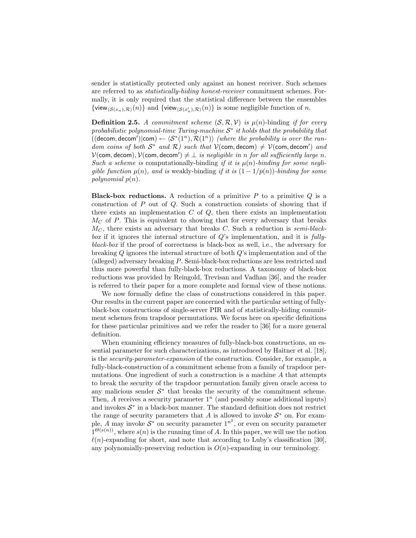sender is statistically protected only against an honest receiver. Such schemes are referred to as statistically-hiding honest-receiver commitment schemes. Formally, it is only required that the statistical difference between the ensembles {view<sub> $\langle \mathcal{S}(x_n), \mathcal{R} \rangle(n)$ } and {view $\langle \mathcal{S}(x'_n), \mathcal{R} \rangle(n)$ } is some negligible function of n.</sub>

**Definition 2.5.** A commitment scheme  $(S, \mathcal{R}, V)$  is  $\mu(n)$ -binding if for every probabilistic polynomial-time Turing-machine  $S^*$  it holds that the probability that  $((\text{decom}, \text{decom'})|\text{com}) \leftarrow \langle \mathcal{S}^*(1^n), \mathcal{R}(1^n) \rangle$  (where the probability is over the random coins of both  $S^*$  and  $\mathcal{R}$ ) such that  $\mathcal{V}(\text{com}, \text{decom}) \neq \mathcal{V}(\text{com}, \text{decom}')$  and  $\mathcal{V}(\text{com}, \text{decom}), \mathcal{V}(\text{com}, \text{decom}') \neq \bot$  is negligible in n for all sufficiently large n. Such a scheme is computationally-binding if it is  $\mu(n)$ -binding for some negligible function  $\mu(n)$ , and is weakly-binding if it is  $(1 - 1/p(n))$ -binding for some polynomial  $p(n)$ .

**Black-box reductions.** A reduction of a primitive  $P$  to a primitive  $Q$  is a construction of  $P$  out of  $Q$ . Such a construction consists of showing that if there exists an implementation  $C$  of  $Q$ , then there exists an implementation  $M<sub>C</sub>$  of P. This is equivalent to showing that for every adversary that breaks  $M_C$ , there exists an adversary that breaks C. Such a reduction is semi-blackbox if it ignores the internal structure of  $Q$ 's implementation, and it is fullyblack-box if the proof of correctness is black-box as well, i.e., the adversary for breaking  $Q$  ignores the internal structure of both  $Q$ 's implementation and of the (alleged) adversary breaking P. Semi-black-box reductions are less restricted and thus more powerful than fully-black-box reductions. A taxonomy of black-box reductions was provided by Reingold, Trevisan and Vadhan [36], and the reader is referred to their paper for a more complete and formal view of these notions.

We now formally define the class of constructions considered in this paper. Our results in the current paper are concerned with the particular setting of fullyblack-box constructions of single-server PIR and of statistically-hiding commitment schemes from trapdoor permutations. We focus here on specific definitions for these particular primitives and we refer the reader to [36] for a more general definition.

When examining efficiency measures of fully-black-box constructions, an essential parameter for such characterizations, as introduced by Haitner et al. [18], is the security-parameter-expansion of the construction. Consider, for example, a fully-black-construction of a commitment scheme from a family of trapdoor permutations. One ingredient of such a construction is a machine  $A$  that attempts to break the security of the trapdoor permutation family given oracle access to any malicious sender  $S^*$  that breaks the security of the commitment scheme. Then, A receives a security parameter  $1<sup>n</sup>$  (and possibly some additional inputs) and invokes  $S^*$  in a black-box manner. The standard definition does not restrict the range of security parameters that  $A$  is allowed to invoke  $S^*$  on. For example, A may invoke  $S^*$  on security parameter  $1^{n^2}$ , or even on security parameter  $1^{\Theta(s(n))}$ , where  $s(n)$  is the running time of A. In this paper, we will use the notion  $\ell(n)$ -expanding for short, and note that according to Luby's classification [30], any polynomially-preserving reduction is  $O(n)$ -expanding in our terminology.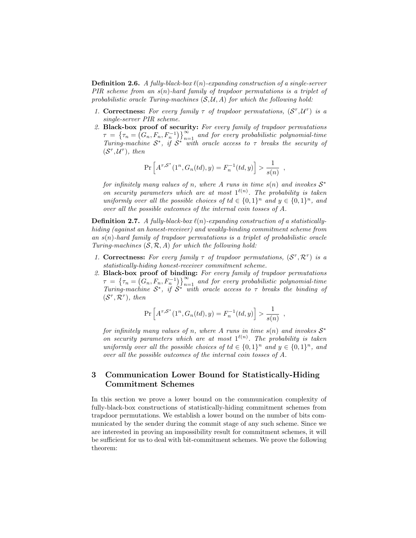**Definition 2.6.** A fully-black-box  $\ell(n)$ -expanding construction of a single-server PIR scheme from an  $s(n)$ -hard family of trapdoor permutations is a triplet of probabilistic oracle Turing-machines  $(S, \mathcal{U}, A)$  for which the following hold:

- 1. Correctness: For every family  $\tau$  of trapdoor permutations,  $(S^{\tau}, U^{\tau})$  is a single-server PIR scheme.
- 2. Black-box proof of security: For every family of trapdoor permutations  $\tau = \{ \tau_n = (G_n, F_n, F_n^{-1})$ curı<br>∖∖∞  $\sum_{n=1}^{\infty}$  and for every probabilistic polynomial-time Turing-machine  $S^*$ , if  $S^*$  with oracle access to  $\tau$  breaks the security of  $(S^{\tau}, U^{\tau}),$  then

$$
\Pr\left[A^{\tau,S^*}(1^n, G_n(td), y) = F_n^{-1}(td, y)\right] > \frac{1}{s(n)}
$$

,

,

for infinitely many values of n, where A runs in time  $s(n)$  and invokes  $S^*$ on security parameters which are at most  $1^{\ell(n)}$ . The probability is taken uniformly over all the possible choices of  $td \in \{0,1\}^n$  and  $y \in \{0,1\}^n$ , and over all the possible outcomes of the internal coin tosses of A.

**Definition 2.7.** A fully-black-box  $\ell(n)$ -expanding construction of a statisticallyhiding (against an honest-receiver) and weakly-binding commitment scheme from an  $s(n)$ -hard family of trapdoor permutations is a triplet of probabilistic oracle Turing-machines  $(S, \mathcal{R}, A)$  for which the following hold:

- 1. Correctness: For every family  $\tau$  of trapdoor permutations,  $(S^{\tau}, \mathcal{R}^{\tau})$  is a statistically-hiding honest-receiver commitment scheme.
- 2. Black-box proof of binding: For every family of trapdoor permutations  $\tau =$ ©  $\tau_n =$ proof of  $\mathbf{D}$ <br> $(G_n, F_n, F_n^{-1})$ nan<br>∖  $\sum_{n=1}^{\infty}$  and for every probabilistic polynomial-time Turing-machine  $S^*$ , if  $S^*$  with oracle access to  $\tau$  breaks the binding of  $(S^{\tau}, \mathcal{R}^{\tau}),$  then

$$
\Pr\left[A^{\tau,S^*}(1^n, G_n(td), y) = F_n^{-1}(td, y)\right] > \frac{1}{s(n)}
$$

for infinitely many values of n, where A runs in time  $s(n)$  and invokes  $S^*$ on security parameters which are at most  $1^{\ell(n)}$ . The probability is taken uniformly over all the possible choices of  $td \in \{0,1\}^n$  and  $y \in \{0,1\}^n$ , and over all the possible outcomes of the internal coin tosses of A.

# 3 Communication Lower Bound for Statistically-Hiding Commitment Schemes

In this section we prove a lower bound on the communication complexity of fully-black-box constructions of statistically-hiding commitment schemes from trapdoor permutations. We establish a lower bound on the number of bits communicated by the sender during the commit stage of any such scheme. Since we are interested in proving an impossibility result for commitment schemes, it will be sufficient for us to deal with bit-commitment schemes. We prove the following theorem: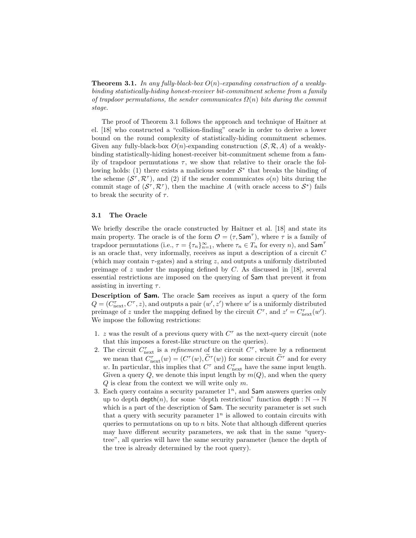**Theorem 3.1.** In any fully-black-box  $O(n)$ -expanding construction of a weaklybinding statistically-hiding honest-receiver bit-commitment scheme from a family of trapdoor permutations, the sender communicates  $\Omega(n)$  bits during the commit stage.

The proof of Theorem 3.1 follows the approach and technique of Haitner at el. [18] who constructed a "collision-finding" oracle in order to derive a lower bound on the round complexity of statistically-hiding commitment schemes. Given any fully-black-box  $O(n)$ -expanding construction  $(S, \mathcal{R}, A)$  of a weaklybinding statistically-hiding honest-receiver bit-commitment scheme from a family of trapdoor permutations  $\tau$ , we show that relative to their oracle the following holds: (1) there exists a malicious sender  $S^*$  that breaks the binding of the scheme  $(S^{\tau}, \mathcal{R}^{\tau})$ , and (2) if the sender communicates  $o(n)$  bits during the commit stage of  $(S^{\tau}, \mathcal{R}^{\tau})$ , then the machine A (with oracle access to  $S^*$ ) fails to break the security of  $\tau$ .

#### 3.1 The Oracle

We briefly describe the oracle constructed by Haitner et al. [18] and state its main property. The oracle is of the form  $\mathcal{O} = (\tau, \mathsf{Sam}^{\tau})$ , where  $\tau$  is a family of trapdoor permutations (i.e.,  $\tau = {\{\tau_n\}}_{n=1}^{\infty}$ , where  $\tau_n \in T_n$  for every  $n$ ), and  $\mathsf{Sam}^{\tau}$ is an oracle that, very informally, receives as input a description of a circuit C (which may contain  $\tau$ -gates) and a string z, and outputs a uniformly distributed preimage of  $z$  under the mapping defined by  $C$ . As discussed in [18], several essential restrictions are imposed on the querying of Sam that prevent it from assisting in inverting  $\tau$ .

Description of Sam. The oracle Sam receives as input a query of the form  $Q = (C_{\text{next}}^{\tau}, C^{\tau}, z)$ , and outputs a pair  $(w', z')$  where w' is a uniformly distributed preimage of z under the mapping defined by the circuit  $C^{\tau}$ , and  $z' = C_{\text{next}}^{\tau}(w')$ . We impose the following restrictions:

- 1. z was the result of a previous query with  $C^{\tau}$  as the next-query circuit (note that this imposes a forest-like structure on the queries).
- 2. The circuit  $C_{\text{next}}^{\tau}$  is a *refinement* of the circuit  $C^{\tau}$ , where by a refinement we mean that  $C_{\text{next}}^{\tau}(w) = (C^{\tau}(w), \tilde{C}^{\tau}(w))$  for some circuit  $\tilde{C}^{\tau}$  and for every w. In particular, this implies that  $C^{\tau}$  and  $C^{\tau}_{\text{next}}$  have the same input length. Given a query  $Q$ , we denote this input length by  $m(Q)$ , and when the query  $Q$  is clear from the context we will write only  $m$ .
- 3. Each query contains a security parameter  $1^n$ , and Sam answers queries only up to depth depth $(n)$ , for some "depth restriction" function depth :  $\mathbb{N} \to \mathbb{N}$ which is a part of the description of **Sam**. The security parameter is set such that a query with security parameter  $1<sup>n</sup>$  is allowed to contain circuits with queries to permutations on up to  $n$  bits. Note that although different queries may have different security parameters, we ask that in the same "querytree", all queries will have the same security parameter (hence the depth of the tree is already determined by the root query).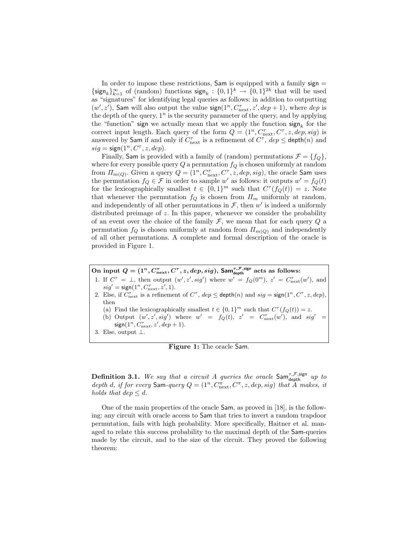In order to impose these restrictions,  $Sam$  is equipped with a family sign  $=$  ${s{sign<sub>k</sub>}_{k=1}^\infty}$  of (random) functions  $sign_k: \{0,1\}^k$  →  $\{0,1\}^{2k}$  that will be used as "signatures" for identifying legal queries as follows: in addition to outputting  $(w', z')$ , Sam will also output the value  $sign(1^n, C_{\text{next}}^{\tau}, z', dep + 1)$ , where  $dep$  is the depth of the query,  $1^n$  is the security parameter of the query, and by applying the "function" sign we actually mean that we apply the function  $\operatorname{sign}_k$  for the correct input length. Each query of the form  $Q = (1^n, C_{\text{next}}^{\tau}, C^{\tau}, z, dep, sig)$  is answered by Sam if and only if  $C_{\text{next}}^{\tau}$  is a refinement of  $C^{\tau}$ ,  $dep \leq$  depth $(n)$  and  $sig = sign(1^n, C^\tau, z, dep).$ 

Finally, Sam is provided with a family of (random) permutations  $\mathcal{F} = \{f_Q\}$ , where for every possible query  $Q$  a permutation  $f_Q$  is chosen uniformly at random from  $\Pi_{m(Q)}$ . Given a query  $Q = (1^n, C_{\text{next}}^{\tau}, C^{\tau}, z, dep, sig)$ , the oracle Sam uses the permutation  $f_Q \in \mathcal{F}$  in order to sample w' as follows: it outputs  $w' = f_Q(t)$ for the lexicographically smallest  $t \in \{0,1\}^m$  such that  $C^{\tau}(f_Q(t)) = z$ . Note that whenever the permutation  $f_Q$  is chosen from  $\Pi_m$  uniformly at random, and independently of all other permutations in  $\mathcal{F}$ , then w' is indeed a uniformly distributed preimage of z. In this paper, whenever we consider the probability of an event over the choice of the family  $\mathcal F$ , we mean that for each query  $Q$  a permutation  $f_Q$  is chosen uniformly at random from  $\Pi_{m(Q)}$  and independently of all other permutations. A complete and formal description of the oracle is provided in Figure 1.

On input  $Q=(1^n,C_{\text{next}}^{\tau},C^{\tau},z,dep,sig),$  Sam $_{\text{depth}}^{\tau,\mathcal{F},\text{sign}}$  acts as follows: 1. If  $C^{\tau} = \bot$ , then output  $(w', z', sig')$  where  $w' = f_Q(0^m)$ ,  $z' = C_{\text{next}}^{\tau}(w')$ , and  $sig' = sign(1^n, C_{\text{next}}^\tau, z', 1).$ 2. Else, if  $C_{\text{next}}^{\tau}$  is a refinement of  $C^{\tau}$ ,  $dep \leq$  depth $(n)$  and  $sig = sign(1^n, C^{\tau}, z, dep)$ , then (a) Find the lexicographically smallest  $t \in \{0,1\}^m$  such that  $C^{\tau}(f_Q(t)) = z$ . (b) Output  $(w', z', sig')$  where  $w' = f_Q(t), z' = C_{\text{next}}^{\tau}(w'),$  and  $sig' =$  $sign(1^n, C_{\text{next}}^{\tau}, z', dep + 1).$ 3. Else, output ⊥.

Figure 1: The oracle Sam.

**Definition 3.1.** We say that a circuit A queries the oracle  $\mathsf{Sam}_{\mathsf{depth}}^{\tau,\mathcal{F},\mathsf{sign}}$  up to depth d, if for every Sam-query  $Q = (1^n, C_{\text{next}}^{\pi}, C^{\pi}, z, dep, sig)$  that A makes, it holds that  $dep \leq d$ .

One of the main properties of the oracle Sam, as proved in [18], is the following: any circuit with oracle access to Sam that tries to invert a random trapdoor permutation, fails with high probability. More specifically, Haitner et al. managed to relate this success probability to the maximal depth of the Sam-queries made by the circuit, and to the size of the circuit. They proved the following theorem: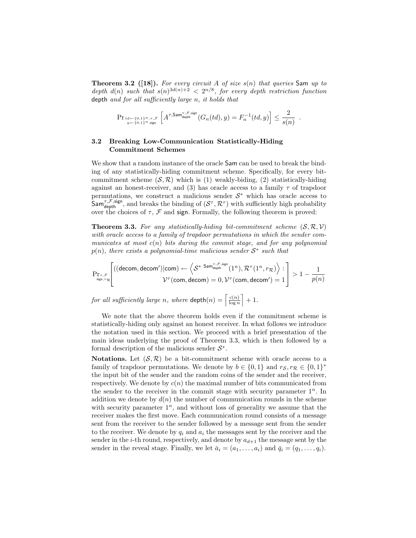**Theorem 3.2** ([18]). For every circuit A of size  $s(n)$  that queries Sam up to depth  $d(n)$  such that  $s(n)^{3d(n)+2} < 2^{n/8}$ , for every depth restriction function depth and for all sufficiently large n, it holds that

$$
\mathrm{Pr}_{\substack{td\leftarrow\{0,1\}^n,\tau,\mathcal{F}\\y\leftarrow\{0,1\}^n,\text{sign}}} \left[A^{\tau,\text{Sam}_{\text{depth}}^{\tau,\mathcal{F},\text{sign}}}(G_n(td),y) = F_n^{-1}(td,y)\right] \le \frac{2}{s(n)}.
$$

## 3.2 Breaking Low-Communication Statistically-Hiding Commitment Schemes

We show that a random instance of the oracle Sam can be used to break the binding of any statistically-hiding commitment scheme. Specifically, for every bitcommitment scheme  $(S, \mathcal{R})$  which is (1) weakly-biding, (2) statistically-hiding against an honest-receiver, and (3) has oracle access to a family  $\tau$  of trapdoor permutations, we construct a malicious sender  $S^*$  which has oracle access to  $\mathsf{Sam}_{\mathsf{depth}}^{\tau,\mathcal{F},\mathsf{sign}},$  and breaks the binding of  $(\mathcal{S}^{\tau},\mathcal{R}^{\tau})$  with sufficiently high probability over the choices of  $\tau$ ,  $\mathcal F$  and sign. Formally, the following theorem is proved:

**Theorem 3.3.** For any statistically-hiding bit-commitment scheme  $(S, \mathcal{R}, \mathcal{V})$ with oracle access to a family of trapdoor permutations in which the sender communicates at most  $c(n)$  bits during the commit stage, and for any polynomial  $p(n)$ , there exists a polynomial-time malicious sender  $S^*$  such that

$$
\Pr_{\mathbf{r}_{\tau}, \mathcal{F}} \left[ \left( (\text{decom}, \text{decom}') | \text{com} \right) \leftarrow \left\langle \mathcal{S}^{* \ \text{Sam}_{\text{depth}}^{\tau, \mathcal{F}, \text{sign}}}(1^{n}), \mathcal{R}^{\tau}(1^{n}, r_{\mathcal{R}}) \right\rangle : \right] > 1 - \frac{1}{p(n)}
$$
\n
$$
\mathcal{V}^{\tau}(\text{com}, \text{decom}) = 0, \mathcal{V}^{\tau}(\text{com}, \text{decom}') = 1 \right]
$$

for all sufficiently large n, where  $\mathsf{depth}(n) = \lceil \frac{c(n)}{\log n} \rceil$  $\log n$  $+1.$ 

We note that the above theorem holds even if the commitment scheme is statistically-hiding only against an honest receiver. In what follows we introduce the notation used in this section. We proceed with a brief presentation of the main ideas underlying the proof of Theorem 3.3, which is then followed by a formal description of the malicious sender  $S^*$ .

Notations. Let  $(S, \mathcal{R})$  be a bit-commitment scheme with oracle access to a family of trapdoor permutations. We denote by  $b \in \{0,1\}$  and  $r_{\mathcal{S}}, r_{\mathcal{R}} \in \{0,1\}^*$ the input bit of the sender and the random coins of the sender and the receiver, respectively. We denote by  $c(n)$  the maximal number of bits communicated from the sender to the receiver in the commit stage with security parameter  $1^n$ . In addition we denote by  $d(n)$  the number of communication rounds in the scheme with security parameter  $1^n$ , and without loss of generality we assume that the receiver makes the first move. Each communication round consists of a message sent from the receiver to the sender followed by a message sent from the sender to the receiver. We denote by  $q_i$  and  $a_i$  the messages sent by the receiver and the sender in the *i*-th round, respectively, and denote by  $a_{d+1}$  the message sent by the sender in the reveal stage. Finally, we let  $\bar{a}_i = (a_1, \ldots, a_i)$  and  $\bar{q}_i = (q_1, \ldots, q_i)$ .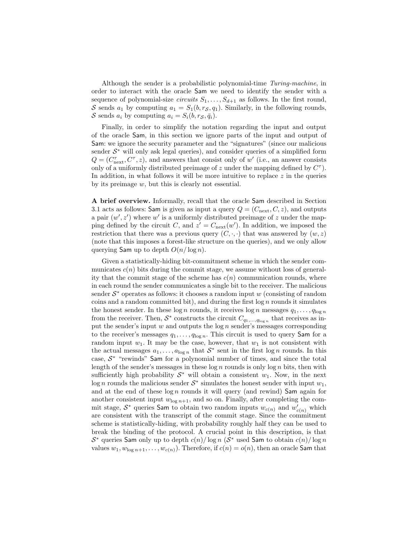Although the sender is a probabilistic polynomial-time Turing-machine, in order to interact with the oracle Sam we need to identify the sender with a sequence of polynomial-size *circuits*  $S_1, \ldots, S_{d+1}$  as follows. In the first round, S sends  $a_1$  by computing  $a_1 = S_1(b, r_{\mathcal{S}}, q_1)$ . Similarly, in the following rounds, S sends  $a_i$  by computing  $a_i = S_i(b, r_{\mathcal{S}}, \bar{q}_i)$ .

Finally, in order to simplify the notation regarding the input and output of the oracle Sam, in this section we ignore parts of the input and output of Sam: we ignore the security parameter and the "signatures" (since our malicious sender  $S^*$  will only ask legal queries), and consider queries of a simplified form  $Q = (C_{\text{next}}^{\tau}, C^{\tau}, z)$ , and answers that consist only of w' (i.e., an answer consists only of a uniformly distributed preimage of z under the mapping defined by  $C^{\tau}$ ). In addition, in what follows it will be more intuitive to replace  $z$  in the queries by its preimage w, but this is clearly not essential.

A brief overview. Informally, recall that the oracle Sam described in Section 3.1 acts as follows: Sam is given as input a query  $Q = (C_{\text{next}}, C, z)$ , and outputs a pair  $(w', z')$  where w' is a uniformly distributed preimage of z under the mapping defined by the circuit C, and  $z' = C_{\text{next}}(w')$ . In addition, we imposed the restriction that there was a previous query  $(C, \cdot, \cdot)$  that was answered by  $(w, z)$ (note that this imposes a forest-like structure on the queries), and we only allow querying Sam up to depth  $O(n/\log n)$ .

Given a statistically-hiding bit-commitment scheme in which the sender communicates  $c(n)$  bits during the commit stage, we assume without loss of generality that the commit stage of the scheme has  $c(n)$  communication rounds, where in each round the sender communicates a single bit to the receiver. The malicious sender  $S^*$  operates as follows: it chooses a random input w (consisting of random coins and a random committed bit), and during the first  $log n$  rounds it simulates the honest sender. In these log *n* rounds, it receives log *n* messages  $q_1, \ldots, q_{\log n}$ from the receiver. Then,  $S^*$  constructs the circuit  $C_{q_1,...,q_{\log n}}$  that receives as input the sender's input  $w$  and outputs the  $log n$  sender's messages corresponding to the receiver's messages  $q_1, \ldots, q_{\log n}$ . This circuit is used to query Sam for a random input  $w_1$ . It may be the case, however, that  $w_1$  is not consistent with the actual messages  $a_1, \ldots, a_{\log n}$  that  $S^*$  sent in the first  $\log n$  rounds. In this case,  $S^*$  "rewinds" Sam for a polynomial number of times, and since the total length of the sender's messages in these  $\log n$  rounds is only  $\log n$  bits, then with sufficiently high probability  $S^*$  will obtain a consistent  $w_1$ . Now, in the next log n rounds the malicious sender  $S^*$  simulates the honest sender with input  $w_1$ , and at the end of these  $\log n$  rounds it will query (and rewind) Sam again for another consistent input  $w_{\log n+1}$ , and so on. Finally, after completing the commit stage,  $S^*$  queries Sam to obtain two random inputs  $w_{c(n)}$  and  $w'_{c(n)}$  which are consistent with the transcript of the commit stage. Since the commitment scheme is statistically-hiding, with probability roughly half they can be used to break the binding of the protocol. A crucial point in this description, is that  $S^*$  queries Sam only up to depth  $c(n)/\log n$  ( $S^*$  used Sam to obtain  $c(n)/\log n$ values  $w_1, w_{\log n+1}, \ldots, w_{c(n)}$ . Therefore, if  $c(n) = o(n)$ , then an oracle Sam that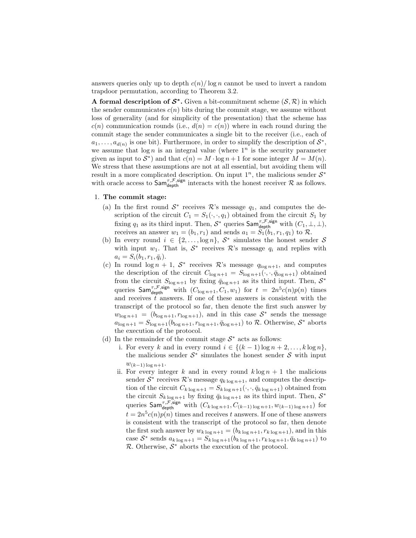answers queries only up to depth  $c(n)/\log n$  cannot be used to invert a random trapdoor permutation, according to Theorem 3.2.

A formal description of  $S^*$ . Given a bit-commitment scheme  $(S, \mathcal{R})$  in which the sender communicates  $c(n)$  bits during the commit stage, we assume without loss of generality (and for simplicity of the presentation) that the scheme has  $c(n)$  communication rounds (i.e.,  $d(n) = c(n)$ ) where in each round during the commit stage the sender communicates a single bit to the receiver (i.e., each of  $a_1, \ldots, a_{d(n)}$  is one bit). Furthermore, in order to simplify the description of  $S^*$ , we assume that  $\log n$  is an integral value (where  $1^n$  is the security parameter given as input to  $S^*$ ) and that  $c(n) = M \cdot \log n + 1$  for some integer  $M = M(n)$ . We stress that these assumptions are not at all essential, but avoiding them will result in a more complicated description. On input  $1^n$ , the malicious sender  $S^*$ with oracle access to  $\mathsf{Sam}_{\mathsf{depth}}^{\tau,\mathcal{F},\mathsf{sign}}$  interacts with the honest receiver  $\mathcal{R}$  as follows.

#### 1. The commit stage:

- (a) In the first round  $S^*$  receives  $\mathcal{R}$ 's message  $q_1$ , and computes the description of the circuit  $C_1 = S_1(\cdot, \cdot, q_1)$  obtained from the circuit  $S_1$  by fixing  $q_1$  as its third input. Then,  $S^*$  queries  $\mathsf{Sam}_{\mathsf{depth}}^{\tau,\mathcal{F},\mathsf{sign}}$  with  $(C_1,\perp,\perp)$ , receives an answer  $w_1 = (b_1, r_1)$  and sends  $a_1 = S_1(b_1, r_1, q_1)$  to  $\mathcal{R}$ .
- (b) In every round  $i \in \{2, \ldots, \log n\}, \mathcal{S}^*$  simulates the honest sender S with input  $w_1$ . That is,  $S^*$  receives  $\mathcal{R}$ 's message  $q_i$  and replies with  $a_i = S_i(b_1, r_1, \bar{q}_i).$
- (c) In round  $\log n + 1$ ,  $S^*$  receives  $\mathcal{R}$ 's message  $q_{\log n+1}$ , and computes the description of the circuit  $C_{\log n+1} = S_{\log n+1}(\cdot, \cdot, \bar{q}_{\log n+1})$  obtained from the circuit  $S_{\log n+1}$  by fixing  $\bar{q}_{\log n+1}$  as its third input. Then,  $S^*$ queries  $\mathsf{Sam}^{\tau,\mathcal{F},\mathsf{sign}}_{\mathsf{depth}}$  with  $(C_{\log n+1}, C_1, w_1)$  for  $t = 2n^5c(n)p(n)$  times and receives  $t$  answers. If one of these answers is consistent with the transcript of the protocol so far, then denote the first such answer by  $w_{\log n+1} = (b_{\log n+1}, r_{\log n+1})$ , and in this case  $S^*$  sends the message  $a_{\log n+1} = S_{\log n+1}(b_{\log n+1}, r_{\log n+1}, \bar{q}_{\log n+1})$  to R. Otherwise,  $S^*$  aborts the execution of the protocol.
- (d) In the remainder of the commit stage  $S^*$  acts as follows:
	- i. For every k and in every round  $i \in \{(k-1)\log n+2,\ldots,k\log n\},\$ the malicious sender  $S^*$  simulates the honest sender S with input  $w_{(k-1) \log n+1}$ .
	- ii. For every integer k and in every round  $k \log n + 1$  the malicious sender  $S^*$  receives  $\mathcal{R}$ 's message  $q_{k \log n+1}$ , and computes the description of the circuit  $C_{k \log n+1} = S_{k \log n+1}(\cdot, \cdot, \bar{q}_{k \log n+1})$  obtained from the circuit  $S_{k \log n+1}$  by fixing  $\bar{q}_{k \log n+1}$  as its third input. Then,  $S^*$ queries  $\mathsf{Sam}^{\tau,\mathcal{F},\mathsf{sign}}_{\mathsf{depth}}$  with  $(C_{k \log n+1}, C_{(k-1) \log n+1}, w_{(k-1) \log n+1})$  for  $t = 2n^5c(n)p(n)$  times and receives t answers. If one of these answers is consistent with the transcript of the protocol so far, then denote the first such answer by  $w_{k \log n+1} = (b_{k \log n+1}, r_{k \log n+1})$ , and in this case  $S^*$  sends  $a_{k \log n+1} = S_{k \log n+1}(b_{k \log n+1}, r_{k \log n+1}, \bar{q}_{k \log n+1})$  to  $\mathcal{R}$ . Otherwise,  $\mathcal{S}^*$  aborts the execution of the protocol.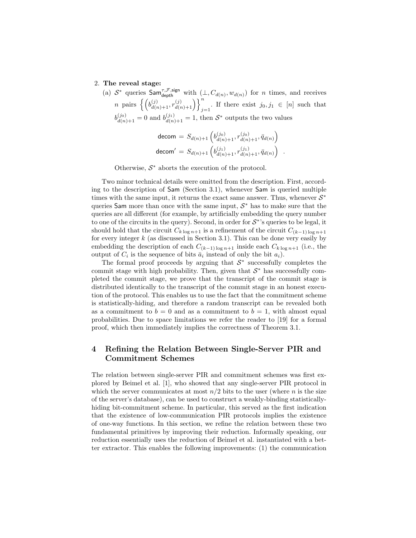#### 2. The reveal stage:

(a)  $S^*$  queries  $\mathsf{Sam}^{\tau,\mathcal{F},\mathsf{sign}}_{\mathsf{depth}}$  with  $(\bot,C_{d(n)},w_{d(n)})$  for *n* times, and receives  $n$  pairs  $\left\{ \left(b_{d(n)+1}^{(j)}, r_{d(n)}^{(j)}\right) \right\}$ with  $(\pm, \Theta_{d(n)}, \omega_{d(n)})$  for *n* times, and receives<br>  $\begin{pmatrix} (j) \\ d(n)+1 \end{pmatrix}$  $\begin{pmatrix} n \\ j=1 \end{pmatrix}$ . If there exist  $j_0, j_1 \in [n]$  such that  $b_{d(n)+1}^{(j_0)} = 0$  and  $b_{d(n)+1}^{(j_1)} = 1$ , then  $S^*$  outputs the two values

$$
\begin{array}{l}\text{decom} = S_{d(n)+1}\left(b_{d(n)+1}^{(j_0)}, r_{d(n)+1}^{(j_0)}, \bar{q}_{d(n)}\right)\\ \text{decom}' = S_{d(n)+1}\left(b_{d(n)+1}^{(j_1)}, r_{d(n)+1}^{(j_1)}, \bar{q}_{d(n)}\right)\end{array}.
$$

Otherwise,  $S^*$  aborts the execution of the protocol.

Two minor technical details were omitted from the description. First, according to the description of Sam (Section 3.1), whenever Sam is queried multiple times with the same input, it returns the exact same answer. Thus, whenever  $S^*$ queries Sam more than once with the same input,  $S^*$  has to make sure that the queries are all different (for example, by artificially embedding the query number to one of the circuits in the query). Second, in order for  $S^*$ 's queries to be legal, it should hold that the circuit  $C_{k \log n+1}$  is a refinement of the circuit  $C_{(k-1) \log n+1}$ for every integer  $k$  (as discussed in Section 3.1). This can be done very easily by embedding the description of each  $C_{(k-1)\log n+1}$  inside each  $C_{k\log n+1}$  (i.e., the output of  $C_i$  is the sequence of bits  $\bar{a}_i$  instead of only the bit  $a_i$ ).

The formal proof proceeds by arguing that  $S^*$  successfully completes the commit stage with high probability. Then, given that  $S^*$  has successfully completed the commit stage, we prove that the transcript of the commit stage is distributed identically to the transcript of the commit stage in an honest execution of the protocol. This enables us to use the fact that the commitment scheme is statistically-hiding, and therefore a random transcript can be revealed both as a commitment to  $b = 0$  and as a commitment to  $b = 1$ , with almost equal probabilities. Due to space limitations we refer the reader to [19] for a formal proof, which then immediately implies the correctness of Theorem 3.1.

# 4 Refining the Relation Between Single-Server PIR and Commitment Schemes

The relation between single-server PIR and commitment schemes was first explored by Beimel et al. [1], who showed that any single-server PIR protocol in which the server communicates at most  $n/2$  bits to the user (where n is the size of the server's database), can be used to construct a weakly-binding statisticallyhiding bit-commitment scheme. In particular, this served as the first indication that the existence of low-communication PIR protocols implies the existence of one-way functions. In this section, we refine the relation between these two fundamental primitives by improving their reduction. Informally speaking, our reduction essentially uses the reduction of Beimel et al. instantiated with a better extractor. This enables the following improvements: (1) the communication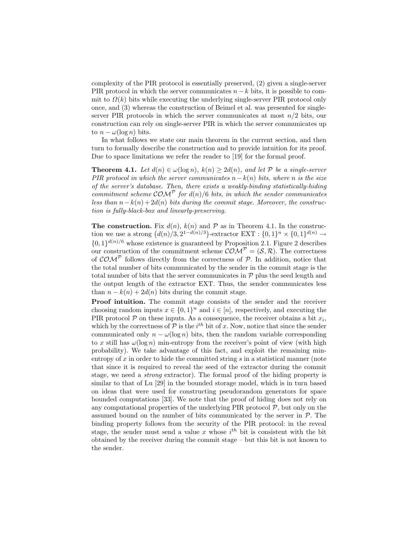complexity of the PIR protocol is essentially preserved, (2) given a single-server PIR protocol in which the server communicates  $n - k$  bits, it is possible to commit to  $\Omega(k)$  bits while executing the underlying single-server PIR protocol only once, and (3) whereas the construction of Beimel et al. was presented for singleserver PIR protocols in which the server communicates at most  $n/2$  bits, our construction can rely on single-server PIR in which the server communicates up to  $n - \omega(\log n)$  bits.

In what follows we state our main theorem in the current section, and then turn to formally describe the construction and to provide intuition for its proof. Due to space limitations we refer the reader to [19] for the formal proof.

**Theorem 4.1.** Let  $d(n) \in \omega(\log n)$ ,  $k(n) \geq 2d(n)$ , and let P be a single-server PIR protocol in which the server communicates  $n-k(n)$  bits, where n is the size of the server's database. Then, there exists a weakly-binding statistically-hiding commitment scheme  $COM^P$  for  $d(n)/6$  bits, in which the sender communicates less than  $n-k(n)+2d(n)$  bits during the commit stage. Moreover, the construction is fully-black-box and linearly-preserving.

**The construction.** Fix  $d(n)$ ,  $k(n)$  and  $P$  as in Theorem 4.1. In the construc-The construction. Fix  $d(n)$ ,  $\kappa(n)$  and P as in Theorem 4.1. In the construc-<br>tion we use a strong  $(d(n)/3, 2^{1-d(n)/3})$ -extractor  $\operatorname{EXT} : \{0,1\}^n \times \{0,1\}^{d(n)} \to$  $\{0,1\}^{d(n)/6}$  whose existence is guaranteed by Proposition 2.1. Figure 2 describes our construction of the commitment scheme  $\mathcal{COM}^{\mathcal{P}} = (\mathcal{S}, \mathcal{R})$ . The correctness of  $\mathcal{COM}^{\mathcal{P}}$  follows directly from the correctness of  $\mathcal{P}$ . In addition, notice that the total number of bits communicated by the sender in the commit stage is the total number of bits that the server communicates in  $P$  plus the seed length and the output length of the extractor EXT. Thus, the sender communicates less than  $n - k(n) + 2d(n)$  bits during the commit stage.

Proof intuition. The commit stage consists of the sender and the receiver choosing random inputs  $x \in \{0,1\}^n$  and  $i \in [n]$ , respectively, and executing the PIR protocol  $P$  on these inputs. As a consequence, the receiver obtains a bit  $x_i$ , which by the correctness of  $P$  is the  $i^{th}$  bit of x. Now, notice that since the sender communicated only  $n - \omega(\log n)$  bits, then the random variable corresponding to x still has  $\omega(\log n)$  min-entropy from the receiver's point of view (with high probability). We take advantage of this fact, and exploit the remaining minentropy of  $x$  in order to hide the committed string  $s$  in a statistical manner (note that since it is required to reveal the seed of the extractor during the commit stage, we need a strong extractor). The formal proof of the hiding property is similar to that of Lu [29] in the bounded storage model, which is in turn based on ideas that were used for constructing pseudorandom generators for space bounded computations [33]. We note that the proof of hiding does not rely on any computational properties of the underlying PIR protocol  $P$ , but only on the assumed bound on the number of bits communicated by the server in  $P$ . The binding property follows from the security of the PIR protocol: in the reveal stage, the sender must send a value x whose  $i^{th}$  bit is consistent with the bit obtained by the receiver during the commit stage – but this bit is not known to the sender.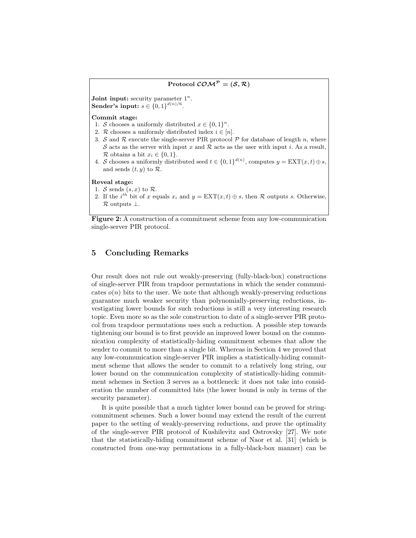Protocol  $\mathcal{COM}^{\mathcal{P}} = (\mathcal{S}, \mathcal{R})$ 

**Joint input:** security parameter  $1^n$ . **Sender's input:**  $s \in \{0, 1\}^{d(n)/6}$ .

Commit stage:

- 1. S chooses a uniformly distributed  $x \in \{0,1\}^n$ .
- 2. R chooses a uniformly distributed index  $i \in [n]$ .
- 3. S and  $\mathcal R$  execute the single-server PIR protocol  $\mathcal P$  for database of length n, where S acts as the server with input x and R acts as the user with input i. As a result, R obtains a bit  $x_i \in \{0, 1\}.$
- 4. S chooses a uniformly distributed seed  $t \in \{0,1\}^{d(n)}$ , computes  $y = \text{EXT}(x,t) \oplus s$ , and sends  $(t, y)$  to  $\mathcal{R}$ .

Reveal stage:

- 1. S sends  $(s, x)$  to  $\mathcal{R}$ .
- 2. If the i<sup>th</sup> bit of x equals  $x_i$  and  $y = \text{EXT}(x, t) \oplus s$ , then R outputs s. Otherwise,  $\mathcal R$  outputs  $\perp$ .

Figure 2: A construction of a commitment scheme from any low-communication single-server PIR protocol.

# 5 Concluding Remarks

Our result does not rule out weakly-preserving (fully-black-box) constructions of single-server PIR from trapdoor permutations in which the sender communicates  $o(n)$  bits to the user. We note that although weakly-preserving reductions guarantee much weaker security than polynomially-preserving reductions, investigating lower bounds for such reductions is still a very interesting research topic. Even more so as the sole construction to date of a single-server PIR protocol from trapdoor permutations uses such a reduction. A possible step towards tightening our bound is to first provide an improved lower bound on the communication complexity of statistically-hiding commitment schemes that allow the sender to commit to more than a single bit. Whereas in Section 4 we proved that any low-communication single-server PIR implies a statistically-hiding commitment scheme that allows the sender to commit to a relatively long string, our lower bound on the communication complexity of statistically-hiding commitment schemes in Section 3 serves as a bottleneck: it does not take into consideration the number of committed bits (the lower bound is only in terms of the security parameter).

It is quite possible that a much tighter lower bound can be proved for stringcommitment schemes. Such a lower bound may extend the result of the current paper to the setting of weakly-preserving reductions, and prove the optimality of the single-server PIR protocol of Kushilevitz and Ostrovsky [27]. We note that the statistically-hiding commitment scheme of Naor et al. [31] (which is constructed from one-way permutations in a fully-black-box manner) can be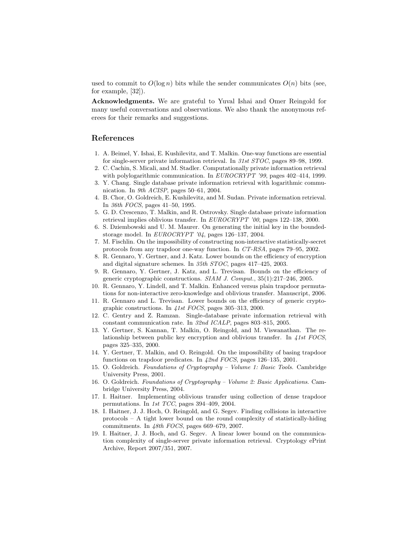used to commit to  $O(\log n)$  bits while the sender communicates  $O(n)$  bits (see, for example, [32]).

Acknowledgments. We are grateful to Yuval Ishai and Omer Reingold for many useful conversations and observations. We also thank the anonymous referees for their remarks and suggestions.

# References

- 1. A. Beimel, Y. Ishai, E. Kushilevitz, and T. Malkin. One-way functions are essential for single-server private information retrieval. In 31st STOC, pages 89–98, 1999.
- 2. C. Cachin, S. Micali, and M. Stadler. Computationally private information retrieval with polylogarithmic communication. In EUROCRYPT '99, pages 402–414, 1999.
- 3. Y. Chang. Single database private information retrieval with logarithmic communication. In 9th ACISP, pages 50–61, 2004.
- 4. B. Chor, O. Goldreich, E. Kushilevitz, and M. Sudan. Private information retrieval. In 36th FOCS, pages 41–50, 1995.
- 5. G. D. Crescenzo, T. Malkin, and R. Ostrovsky. Single database private information retrieval implies oblivious transfer. In EUROCRYPT '00, pages 122–138, 2000.
- 6. S. Dziembowski and U. M. Maurer. On generating the initial key in the boundedstorage model. In EUROCRYPT '04, pages 126–137, 2004.
- 7. M. Fischlin. On the impossibility of constructing non-interactive statistically-secret protocols from any trapdoor one-way function. In CT-RSA, pages 79–95, 2002.
- 8. R. Gennaro, Y. Gertner, and J. Katz. Lower bounds on the efficiency of encryption and digital signature schemes. In 35th STOC, pages 417–425, 2003.
- 9. R. Gennaro, Y. Gertner, J. Katz, and L. Trevisan. Bounds on the efficiency of generic cryptographic constructions. SIAM J. Comput., 35(1):217–246, 2005.
- 10. R. Gennaro, Y. Lindell, and T. Malkin. Enhanced versus plain trapdoor permutations for non-interactive zero-knowledge and oblivious transfer. Manuscript, 2006.
- 11. R. Gennaro and L. Trevisan. Lower bounds on the efficiency of generic cryptographic constructions. In 41st FOCS, pages 305–313, 2000.
- 12. C. Gentry and Z. Ramzan. Single-database private information retrieval with constant communication rate. In 32nd ICALP, pages 803–815, 2005.
- 13. Y. Gertner, S. Kannan, T. Malkin, O. Reingold, and M. Viswanathan. The relationship between public key encryption and oblivious transfer. In 41st FOCS, pages 325–335, 2000.
- 14. Y. Gertner, T. Malkin, and O. Reingold. On the impossibility of basing trapdoor functions on trapdoor predicates. In 42nd FOCS, pages 126–135, 2001.
- 15. O. Goldreich. Foundations of Cryptography Volume 1: Basic Tools. Cambridge University Press, 2001.
- 16. O. Goldreich. Foundations of Cryptography Volume 2: Basic Applications. Cambridge University Press, 2004.
- 17. I. Haitner. Implementing oblivious transfer using collection of dense trapdoor permutations. In 1st TCC, pages 394–409, 2004.
- 18. I. Haitner, J. J. Hoch, O. Reingold, and G. Segev. Finding collisions in interactive protocols – A tight lower bound on the round complexity of statistically-hiding commitments. In 48th FOCS, pages 669–679, 2007.
- 19. I. Haitner, J. J. Hoch, and G. Segev. A linear lower bound on the communication complexity of single-server private information retrieval. Cryptology ePrint Archive, Report 2007/351, 2007.